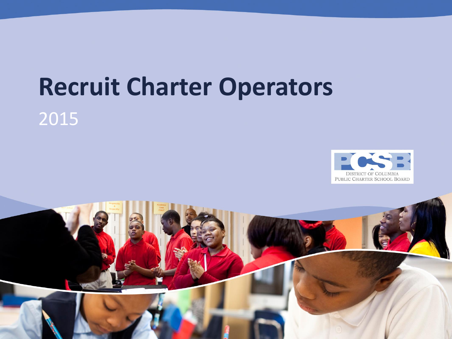# **Recruit Charter Operators**

#### 2015



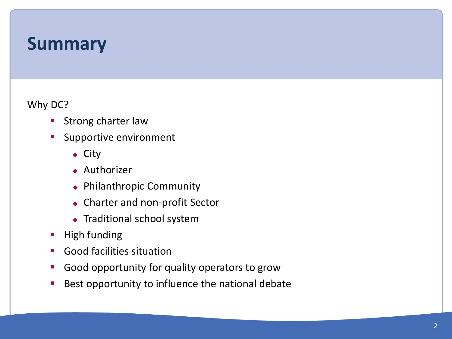#### **Summary**

Why DC?

- **Strong charter law**
- Supportive environment
	- ◆ City
	- ◆ Authorizer
	- ◆ Philanthropic Community
	- ◆ Charter and non-profit Sector
	- ◆ Traditional school system
- **High funding**
- **Good facilities situation**
- **Good opportunity for quality operators to grow**
- Best opportunity to influence the national debate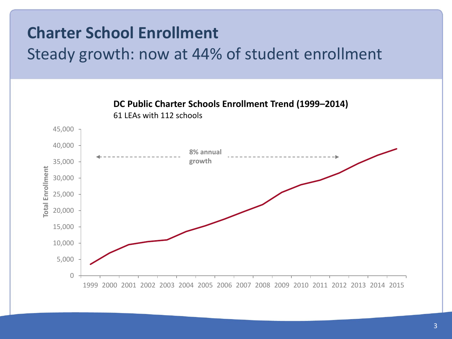#### **Charter School Enrollment**

#### Steady growth: now at 44% of student enrollment

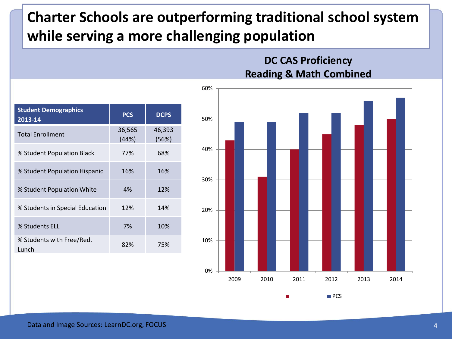#### **Charter Schools are outperforming traditional school system while serving a more challenging population**

| <b>Student Demographics</b><br>2013-14 | <b>PCS</b>      | <b>DCPS</b>     |
|----------------------------------------|-----------------|-----------------|
| <b>Total Enrollment</b>                | 36,565<br>(44%) | 46,393<br>(56%) |
| % Student Population Black             | 77%             | 68%             |
| % Student Population Hispanic          | 16%             | 16%             |
| % Student Population White             | 4%              | 12%             |
| % Students in Special Education        | 12%             | 14%             |
| % Students ELL                         | 7%              | 10%             |
| % Students with Free/Red.<br>Lunch     | 82%             | 75%             |

#### **DC CAS Proficiency Reading & Math Combined**

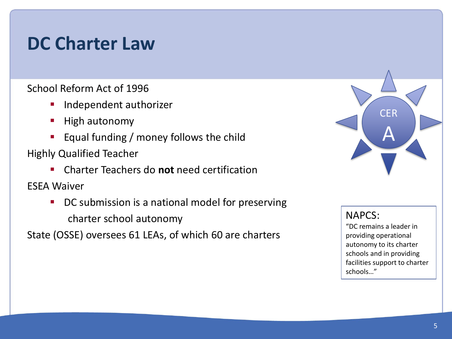#### **DC Charter Law**

School Reform Act of 1996

- **Independent authorizer**
- **High autonomy**
- **Equal funding / money follows the child**

Highly Qualified Teacher

Charter Teachers do **not** need certification

ESEA Waiver

DC submission is a national model for preserving charter school autonomy

State (OSSE) oversees 61 LEAs, of which 60 are charters



NAPCS:

"DC remains a leader in providing operational autonomy to its charter schools and in providing facilities support to charter schools…"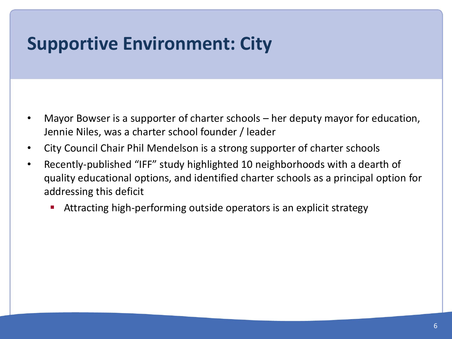#### **Supportive Environment: City**

- Mayor Bowser is a supporter of charter schools her deputy mayor for education, Jennie Niles, was a charter school founder / leader
- City Council Chair Phil Mendelson is a strong supporter of charter schools
- Recently-published "IFF" study highlighted 10 neighborhoods with a dearth of quality educational options, and identified charter schools as a principal option for addressing this deficit
	- Attracting high-performing outside operators is an explicit strategy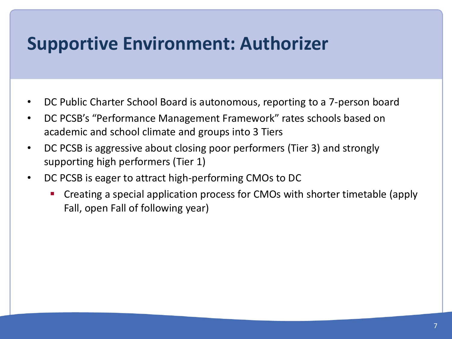#### **Supportive Environment: Authorizer**

- DC Public Charter School Board is autonomous, reporting to a 7-person board
- DC PCSB's "Performance Management Framework" rates schools based on academic and school climate and groups into 3 Tiers
- DC PCSB is aggressive about closing poor performers (Tier 3) and strongly supporting high performers (Tier 1)
- DC PCSB is eager to attract high-performing CMOs to DC
	- Creating a special application process for CMOs with shorter timetable (apply Fall, open Fall of following year)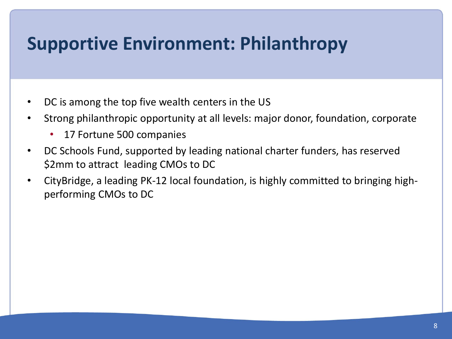## **Supportive Environment: Philanthropy**

- DC is among the top five wealth centers in the US
- Strong philanthropic opportunity at all levels: major donor, foundation, corporate
	- 17 Fortune 500 companies
- DC Schools Fund, supported by leading national charter funders, has reserved \$2mm to attract leading CMOs to DC
- CityBridge, a leading PK-12 local foundation, is highly committed to bringing highperforming CMOs to DC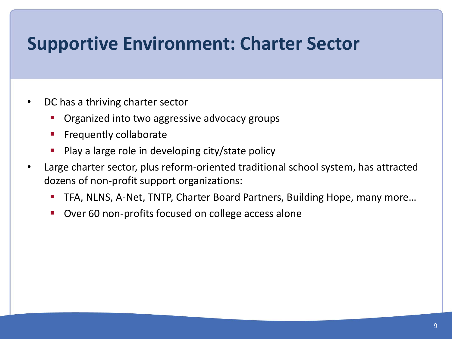#### **Supportive Environment: Charter Sector**

- DC has a thriving charter sector
	- Organized into two aggressive advocacy groups
	- **Filter** Frequently collaborate
	- Play a large role in developing city/state policy
- Large charter sector, plus reform-oriented traditional school system, has attracted dozens of non-profit support organizations:
	- TFA, NLNS, A-Net, TNTP, Charter Board Partners, Building Hope, many more...
	- **Over 60 non-profits focused on college access alone**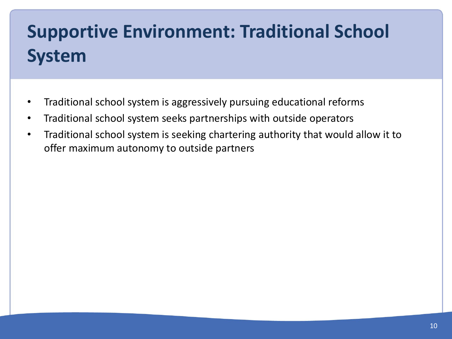# **Supportive Environment: Traditional School System**

- Traditional school system is aggressively pursuing educational reforms
- Traditional school system seeks partnerships with outside operators
- Traditional school system is seeking chartering authority that would allow it to offer maximum autonomy to outside partners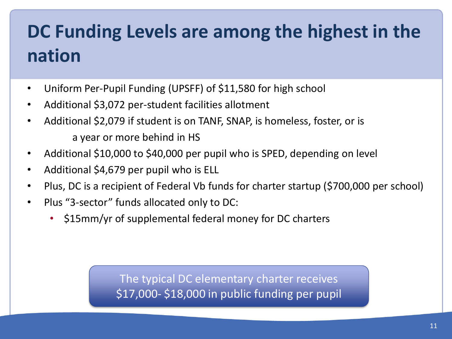# **DC Funding Levels are among the highest in the nation**

- Uniform Per-Pupil Funding (UPSFF) of \$11,580 for high school
- Additional \$3,072 per-student facilities allotment
- Additional \$2,079 if student is on TANF, SNAP, is homeless, foster, or is a year or more behind in HS
- Additional \$10,000 to \$40,000 per pupil who is SPED, depending on level
- Additional \$4,679 per pupil who is ELL
- Plus, DC is a recipient of Federal Vb funds for charter startup (\$700,000 per school)
- Plus "3-sector" funds allocated only to DC:
	- \$15mm/yr of supplemental federal money for DC charters

The typical DC elementary charter receives \$17,000- \$18,000 in public funding per pupil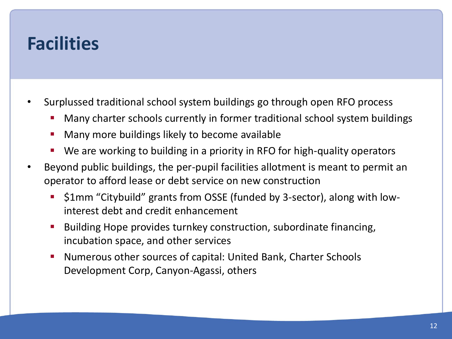#### **Facilities**

- Surplussed traditional school system buildings go through open RFO process
	- Many charter schools currently in former traditional school system buildings
	- **Many more buildings likely to become available**
	- We are working to building in a priority in RFO for high-quality operators
- Beyond public buildings, the per-pupil facilities allotment is meant to permit an operator to afford lease or debt service on new construction
	- **51mm "Citybuild" grants from OSSE (funded by 3-sector), along with low**interest debt and credit enhancement
	- **Building Hope provides turnkey construction, subordinate financing,** incubation space, and other services
	- Numerous other sources of capital: United Bank, Charter Schools Development Corp, Canyon-Agassi, others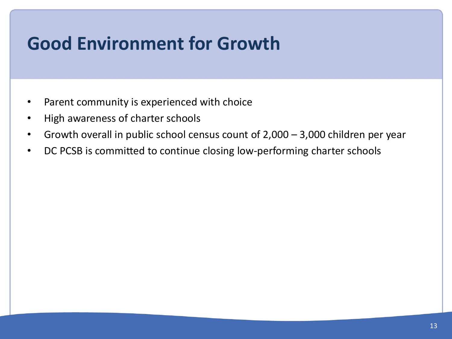## **Good Environment for Growth**

- Parent community is experienced with choice
- High awareness of charter schools
- Growth overall in public school census count of 2,000 3,000 children per year
- DC PCSB is committed to continue closing low-performing charter schools